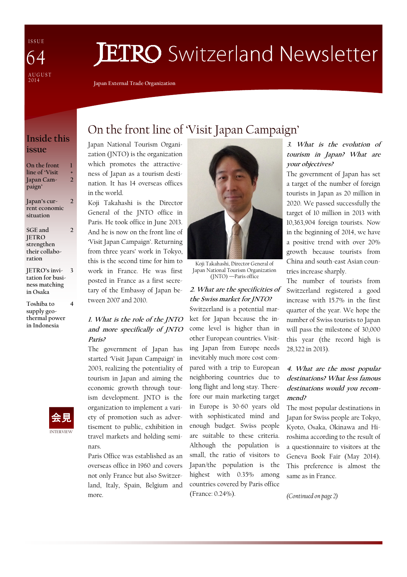I S S U E A U G U S T  $2014$ 64

# **JETRO** Switzerland Newsletter

Japan External Trade Organization

### Inside this issue

| On the front     | ı |
|------------------|---|
| line of 'Visit   | ÷ |
| Japan Cam-       | 2 |
| paign'           |   |
| Japan's cur-     | 7 |
| rent economic    |   |
| situation        |   |
| SGE and          |   |
| <b>JETRO</b>     |   |
| strengthen       |   |
| their collabo-   |   |
| ration           |   |
| JETRO's invi-    | 3 |
| tation for busi- |   |
| ness matching    |   |
| in Osaka         |   |
|                  |   |

Toshiba to supply geothermal power in Indonesia

# + 2 2 2 3

4

## INTERVIEW 会見

## On the front line of 'Visit Japan Campaign'

Japan National Tourism Organization (JNTO) is the organization which promotes the attractiveness of Japan as a tourism destination. It has 14 overseas offices in the world.

Koji Takahashi is the Director General of the JNTO office in Paris. He took office in June 2013. And he is now on the front line of 'Visit Japan Campaign'. Returning from three years' work in Tokyo, this is the second time for him to work in France. He was first posted in France as a first secretary of the Embassy of Japan between 2007 and 2010.

#### 1. What is the role of the JNTO and more specifically of JNTO Paris?

The government of Japan has started 'Visit Japan Campaign' in 2003, realizing the potentiality of tourism in Japan and aiming the economic growth through tourism development. JNTO is the organization to implement a variety of promotion such as advertisement to public, exhibition in travel markets and holding seminars.

Paris Office was established as an overseas office in 1960 and covers not only France but also Switzerland, Italy, Spain, Belgium and more.



Koji Takahashi, Director General of Japan National Tourism Organization (JNTO) —Paris office

### 2. What are the specificities of the Swiss market for JNTO?

Switzerland is a potential market for Japan because the income level is higher than in other European countries. Visiting Japan from Europe needs inevitably much more cost compared with a trip to European neighboring countries due to long flight and long stay. Therefore our main marketing target in Europe is 30-60 years old with sophisticated mind and enough budget. Swiss people are suitable to these criteria. Although the population is small, the ratio of visitors to Japan/the population is the highest with 0.35% among countries covered by Paris office (France: 0.24%).

#### 3. What is the evolution of tourism in Japan? What are your objectives?

The government of Japan has set a target of the number of foreign tourists in Japan as 20 million in 2020. We passed successfully the target of 10 million in 2013 with 10,363,904 foreign tourists. Now in the beginning of 2014, we have a positive trend with over 20% growth because tourists from China and south-east Asian countries increase sharply.

The number of tourists from Switzerland registered a good increase with 15.7% in the first quarter of the year. We hope the number of Swiss tourists to Japan will pass the milestone of 30,000 this year (the record high is 28,322 in 2013).

#### 4. What are the most popular destinations? What less famous destinations would you recommend?

The most popular destinations in Japan for Swiss people are Tokyo, Kyoto, Osaka, Okinawa and Hiroshima according to the result of a questionnaire to visitors at the Geneva Book Fair (May 2014). This preference is almost the same as in France.

(Continued on page 2)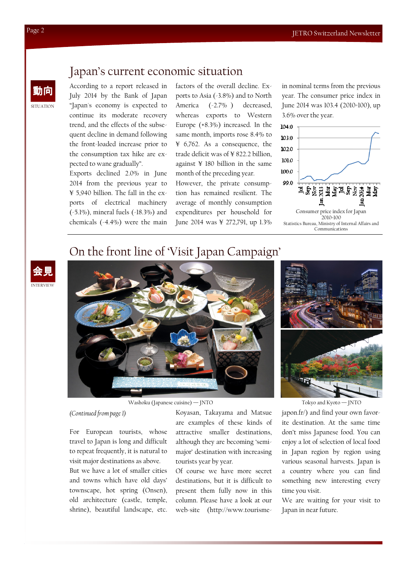## Japan's current economic situation

According to a report released in July 2014 by the Bank of Japan "Japan's economy is expected to continue its moderate recovery trend, and the effects of the subsequent decline in demand following the front-loaded increase prior to the consumption tax hike are expected to wane gradually".

Exports declined 2.0% in June 2014 from the previous year to ¥ 5,940 billion. The fall in the exports of electrical machinery (-5.1%), mineral fuels (-18.3%) and chemicals (-4.4%) were the main factors of the overall decline. Exports to Asia (-3.8%) and to North America (-2.7% ) decreased, whereas exports to Western Europe (+8.3%) increased. In the same month, imports rose 8.4% to ¥ 6,762. As a consequence, the trade deficit was of ¥ 822.2 billion, against ¥ 180 billion in the same month of the preceding year.

However, the private consumption has remained resilient. The average of monthly consumption expenditures per household for June 2014 was ¥ 272,791, up 1.3%

in nominal terms from the previous year. The consumer price index in June 2014 was 103.4 (2010=100), up 3.6% over the year.



## On the front line of 'Visit Japan Campaign'





Washoku (Japanese cuisine) — JNTO Tokyo and Kyoto — JNTO

(Continued from page 1)

For European tourists, whose travel to Japan is long and difficult to repeat frequently, it is natural to visit major destinations as above.

But we have a lot of smaller cities and towns which have old days' townscape, hot spring (Onsen), old architecture (castle, temple, shrine), beautiful landscape, etc. Koyasan, Takayama and Matsue are examples of these kinds of attractive smaller destinations, although they are becoming 'semimajor' destination with increasing tourists year by year.

Of course we have more secret destinations, but it is difficult to present them fully now in this column. Please have a look at our web-site (http://www.tourisme-



japon.fr/) and find your own favorite destination. At the same time don't miss Japanese food. You can enjoy a lot of selection of local food in Japan region by region using various seasonal harvests. Japan is a country where you can find something new interesting every time you visit.

We are waiting for your visit to Japan in near future.

SITUATION

動向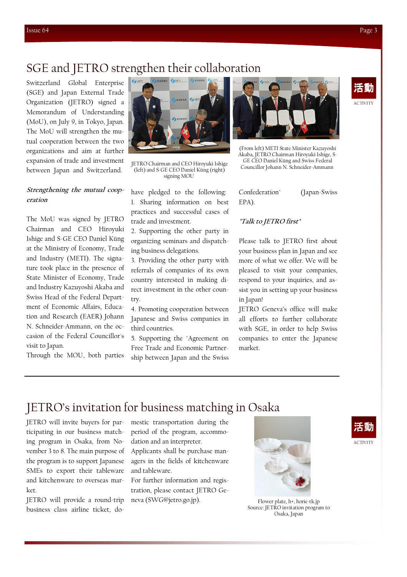## SGE and JETRO strengthen their collaboration

Switzerland Global Enterprise (SGE) and Japan External Trade Organization (JETRO) signed a Memorandum of Understanding (MoU), on July 9, in Tokyo, Japan. The MoU will strengthen the mutual cooperation between the two organizations and aim at further expansion of trade and investment between Japan and Switzerland.

#### Strengthening the mutual cooperation

The MoU was signed by JETRO Chairman and CEO Hiroyuki Ishige and S-GE CEO Daniel Küng at the Ministry of Economy, Trade and Industry (METI). The signature took place in the presence of State Minister of Economy, Trade and Industry Kazuyoshi Akaba and Swiss Head of the Federal Department of Economic Affairs, Education and Research (EAER) Johann N. Schneider-Ammann, on the occasion of the Federal Councillor's visit to Japan.

Through the MOU, both parties



(left) and S-GE CEO Daniel Küng (right) signing MOU

have pledged to the following: 1. Sharing information on best practices and successful cases of trade and investment.

2. Supporting the other party in organizing seminars and dispatching business delegations.

3. Providing the other party with referrals of companies of its own country interested in making direct investment in the other country.

4. Promoting cooperation between Japanese and Swiss companies in third countries.

5. Supporting the "Agreement on Free Trade and Economic Partnership between Japan and the Swiss



(From left) METI State Minister Kazuyoshi Akaba, JETRO Chairman Hiroyuki Ishige, S-GE CEO Daniel Küng and Swiss Federal JETRO Chairman and CEO Hiroyuki Ishige GEO Daniel Kung and Swiss Federal<br>Councillor Johann N. Schneider-Ammann (Jeff) and S. CEO Daniel Küng (sight)

Confederation" (Japan-Swiss EPA).

#### "Talk to JETRO first"

Please talk to JETRO first about your business plan in Japan and see more of what we offer. We will be pleased to visit your companies, respond to your inquiries, and assist you in setting up your business in Japan!

JETRO Geneva's office will make all efforts to further collaborate with SGE, in order to help Swiss companies to enter the Japanese market.

## JETRO's invitation for business matching in Osaka

JETRO will invite buyers for participating in our business matching program in Osaka, from November 3 to 8. The main purpose of the program is to support Japanese SMEs to export their tableware and kitchenware to overseas market.

JETRO will provide a round-trip business class airline ticket, domestic transportation during the period of the program, accommodation and an interpreter.

Applicants shall be purchase managers in the fields of kitchenware and tableware.

For further information and registration, please contact JETRO Geneva (SWG@jetro.go.jp).



Flower plate, h+, horie-tk.jp Source: JETRO invitation program to Osaka, Japan